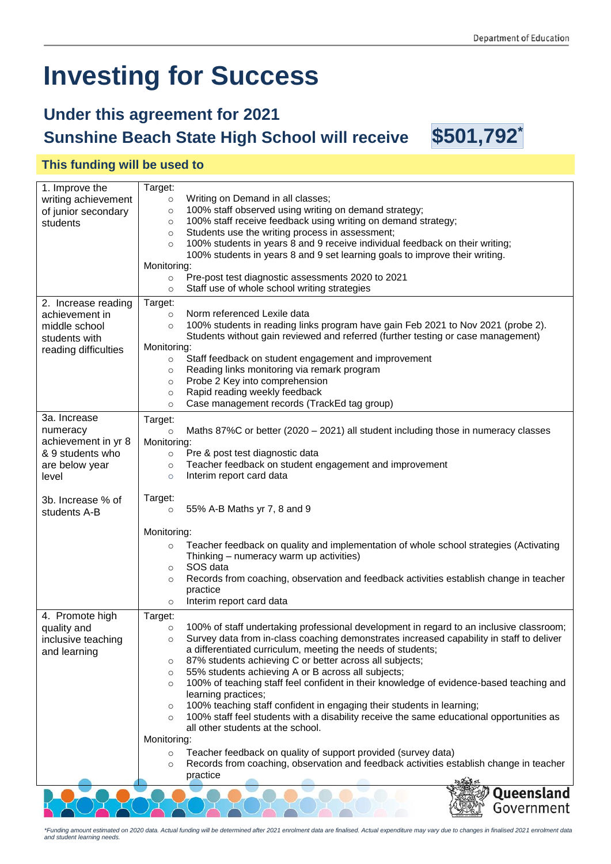# **Investing for Success**

## **Under this agreement for 2021 Sunshine Beach State High School will receive \$501,792\***

#### **This funding will be used to**

| 1. Improve the                     | Target:                                                                                             |
|------------------------------------|-----------------------------------------------------------------------------------------------------|
| writing achievement                | Writing on Demand in all classes;<br>$\circ$                                                        |
| of junior secondary                | 100% staff observed using writing on demand strategy;<br>$\circ$                                    |
| students                           | 100% staff receive feedback using writing on demand strategy;<br>$\circ$                            |
|                                    | Students use the writing process in assessment;<br>$\circ$                                          |
|                                    | 100% students in years 8 and 9 receive individual feedback on their writing;<br>$\circ$             |
|                                    | 100% students in years 8 and 9 set learning goals to improve their writing.                         |
|                                    | Monitoring:                                                                                         |
|                                    | Pre-post test diagnostic assessments 2020 to 2021<br>$\circ$                                        |
|                                    | Staff use of whole school writing strategies<br>$\circ$                                             |
| 2. Increase reading                | Target:                                                                                             |
| achievement in                     | Norm referenced Lexile data<br>$\circ$                                                              |
| middle school                      | 100% students in reading links program have gain Feb 2021 to Nov 2021 (probe 2).<br>$\circ$         |
| students with                      | Students without gain reviewed and referred (further testing or case management)                    |
| reading difficulties               | Monitoring:                                                                                         |
|                                    | Staff feedback on student engagement and improvement<br>$\circ$                                     |
|                                    | Reading links monitoring via remark program<br>O                                                    |
|                                    | Probe 2 Key into comprehension<br>O                                                                 |
|                                    | Rapid reading weekly feedback<br>O                                                                  |
|                                    | Case management records (TrackEd tag group)<br>$\circ$                                              |
| 3a. Increase                       | Target:                                                                                             |
| numeracy                           | Maths 87%C or better (2020 $-$ 2021) all student including those in numeracy classes<br>$\circ$     |
| achievement in yr 8<br>Monitoring: |                                                                                                     |
| & 9 students who                   | Pre & post test diagnostic data<br>$\circ$                                                          |
| are below year                     | Teacher feedback on student engagement and improvement<br>$\circ$                                   |
| level                              | Interim report card data<br>$\circ$                                                                 |
|                                    |                                                                                                     |
| 3b. Increase % of                  | Target:                                                                                             |
| students A-B                       | 55% A-B Maths yr 7, 8 and 9<br>$\circ$                                                              |
|                                    |                                                                                                     |
|                                    | Monitoring:                                                                                         |
|                                    | Teacher feedback on quality and implementation of whole school strategies (Activating<br>$\circ$    |
|                                    | Thinking - numeracy warm up activities)                                                             |
|                                    | SOS data<br>O                                                                                       |
|                                    | Records from coaching, observation and feedback activities establish change in teacher<br>O         |
|                                    | practice                                                                                            |
|                                    | Interim report card data<br>$\circ$                                                                 |
| 4. Promote high                    | Target:                                                                                             |
| quality and                        | 100% of staff undertaking professional development in regard to an inclusive classroom;<br>$\circ$  |
| inclusive teaching                 | Survey data from in-class coaching demonstrates increased capability in staff to deliver<br>$\circ$ |
| and learning                       | a differentiated curriculum, meeting the needs of students;                                         |
|                                    | 87% students achieving C or better across all subjects;<br>O                                        |
|                                    | 55% students achieving A or B across all subjects;<br>$\circ$                                       |
|                                    | 100% of teaching staff feel confident in their knowledge of evidence-based teaching and<br>$\circ$  |
|                                    | learning practices;                                                                                 |
|                                    | 100% teaching staff confident in engaging their students in learning;<br>O                          |
|                                    | 100% staff feel students with a disability receive the same educational opportunities as<br>$\circ$ |
|                                    | all other students at the school.                                                                   |
|                                    | Monitoring:                                                                                         |
|                                    | Teacher feedback on quality of support provided (survey data)<br>$\circ$                            |
|                                    | Records from coaching, observation and feedback activities establish change in teacher<br>$\circ$   |
|                                    | practice                                                                                            |
|                                    | Queensland                                                                                          |
|                                    |                                                                                                     |
|                                    | Government                                                                                          |

*\*Funding amount estimated on 2020 data. Actual funding will be determined after 2021 enrolment data are finalised. Actual expenditure may vary due to changes in finalised 2021 enrolment data and student learning needs.*